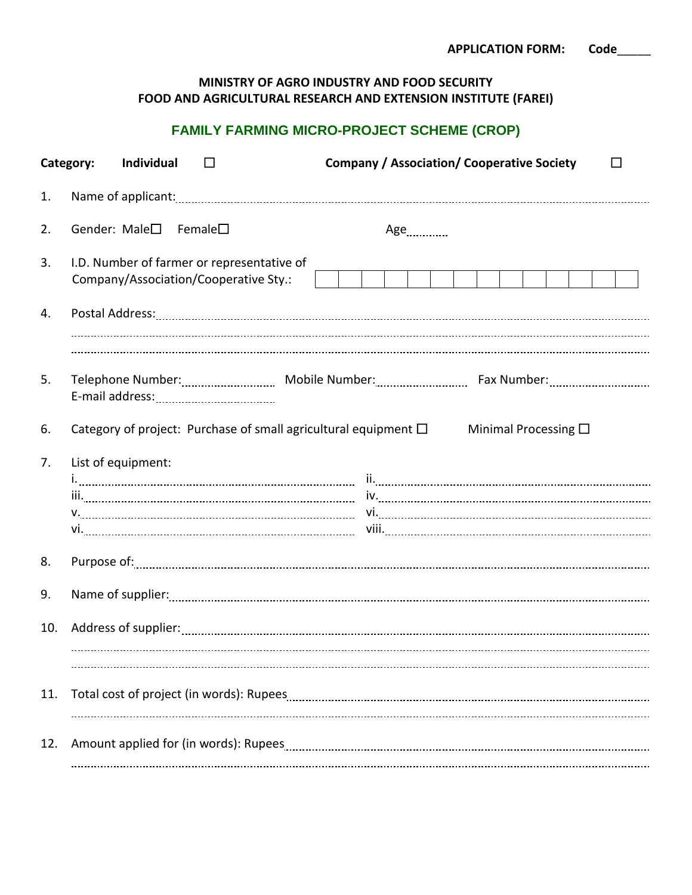| <b>APPLICATION FORM:</b> | Code |
|--------------------------|------|
|--------------------------|------|

## **MINISTRY OF AGRO INDUSTRY AND FOOD SECURITY FOOD AND AGRICULTURAL RESEARCH AND EXTENSION INSTITUTE (FAREI)**

## **FAMILY FARMING MICRO-PROJECT SCHEME (CROP)**

|     | Category:<br>Individual                                                             | <b>Company / Association/ Cooperative Society</b> |
|-----|-------------------------------------------------------------------------------------|---------------------------------------------------|
| 1.  |                                                                                     |                                                   |
| 2.  | Gender: Male $\square$ Female $\square$                                             | Age                                               |
| 3.  | I.D. Number of farmer or representative of<br>Company/Association/Cooperative Sty.: |                                                   |
| 4.  |                                                                                     |                                                   |
| 5.  |                                                                                     |                                                   |
| 6.  | Category of project: Purchase of small agricultural equipment $\Box$                | Minimal Processing $\square$                      |
| 7.  | List of equipment:                                                                  |                                                   |
| 8.  |                                                                                     |                                                   |
| 9.  |                                                                                     |                                                   |
| 10. |                                                                                     |                                                   |
| 11. |                                                                                     |                                                   |
| 12. |                                                                                     |                                                   |